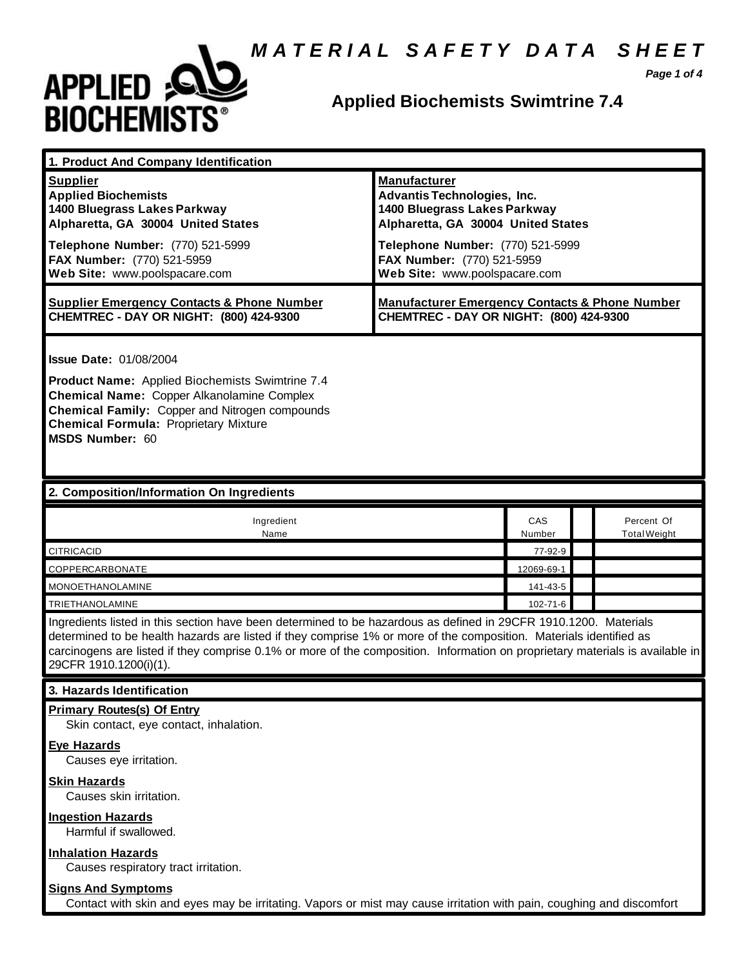# *M A T E R I A L S A F E T Y D A T A S H E E T*



# **Applied Biochemists Swimtrine 7.4**

*Page 1 of 4*

| 1. Product And Company Identification                                                                                                                                                                                                                                                                                                                                                                                            |                                                                                                                                                                                                                                    |               |                                   |
|----------------------------------------------------------------------------------------------------------------------------------------------------------------------------------------------------------------------------------------------------------------------------------------------------------------------------------------------------------------------------------------------------------------------------------|------------------------------------------------------------------------------------------------------------------------------------------------------------------------------------------------------------------------------------|---------------|-----------------------------------|
| <b>Supplier</b><br><b>Applied Biochemists</b><br>1400 Bluegrass Lakes Parkway<br>Alpharetta, GA 30004 United States<br>Telephone Number: (770) 521-5999<br>FAX Number: (770) 521-5959<br>Web Site: www.poolspacare.com                                                                                                                                                                                                           | <b>Manufacturer</b><br><b>Advantis Technologies, Inc.</b><br>1400 Bluegrass Lakes Parkway<br>Alpharetta, GA 30004 United States<br>Telephone Number: (770) 521-5999<br>FAX Number: (770) 521-5959<br>Web Site: www.poolspacare.com |               |                                   |
| <b>Supplier Emergency Contacts &amp; Phone Number</b><br>CHEMTREC - DAY OR NIGHT: (800) 424-9300                                                                                                                                                                                                                                                                                                                                 | <b>Manufacturer Emergency Contacts &amp; Phone Number</b><br>CHEMTREC - DAY OR NIGHT: (800) 424-9300                                                                                                                               |               |                                   |
| <b>Issue Date: 01/08/2004</b><br><b>Product Name:</b> Applied Biochemists Swimtrine 7.4<br><b>Chemical Name: Copper Alkanolamine Complex</b><br>Chemical Family: Copper and Nitrogen compounds<br><b>Chemical Formula: Proprietary Mixture</b><br><b>MSDS Number: 60</b>                                                                                                                                                         |                                                                                                                                                                                                                                    |               |                                   |
| 2. Composition/Information On Ingredients                                                                                                                                                                                                                                                                                                                                                                                        |                                                                                                                                                                                                                                    |               |                                   |
| Ingredient<br>Name                                                                                                                                                                                                                                                                                                                                                                                                               |                                                                                                                                                                                                                                    | CAS<br>Number | Percent Of<br><b>Total Weight</b> |
| <b>CITRICACID</b>                                                                                                                                                                                                                                                                                                                                                                                                                |                                                                                                                                                                                                                                    | 77-92-9       |                                   |
| COPPERCARBONATE                                                                                                                                                                                                                                                                                                                                                                                                                  |                                                                                                                                                                                                                                    | 12069-69-1    |                                   |
| <b>MONOETHANOLAMINE</b>                                                                                                                                                                                                                                                                                                                                                                                                          |                                                                                                                                                                                                                                    | 141-43-5      |                                   |
| 102-71-6<br>TRIETHANOLAMINE<br>Ingredients listed in this section have been determined to be hazardous as defined in 29CFR 1910.1200. Materials<br>determined to be health hazards are listed if they comprise 1% or more of the composition. Materials identified as<br>carcinogens are listed if they comprise 0.1% or more of the composition. Information on proprietary materials is available in<br>29CFR 1910.1200(i)(1). |                                                                                                                                                                                                                                    |               |                                   |
| 3. Hazards Identification                                                                                                                                                                                                                                                                                                                                                                                                        |                                                                                                                                                                                                                                    |               |                                   |
| <b>Primary Routes(s) Of Entry</b><br>Skin contact, eye contact, inhalation.<br><b>Eye Hazards</b><br>Causes eye irritation.                                                                                                                                                                                                                                                                                                      |                                                                                                                                                                                                                                    |               |                                   |
| <b>Skin Hazards</b><br>Causes skin irritation.                                                                                                                                                                                                                                                                                                                                                                                   |                                                                                                                                                                                                                                    |               |                                   |
| <b>Ingestion Hazards</b><br>Harmful if swallowed.                                                                                                                                                                                                                                                                                                                                                                                |                                                                                                                                                                                                                                    |               |                                   |
| <b>Inhalation Hazards</b><br>Causes respiratory tract irritation.                                                                                                                                                                                                                                                                                                                                                                |                                                                                                                                                                                                                                    |               |                                   |
| <b>Signs And Symptoms</b><br>Contact with skin and eyes may be irritating. Vapors or mist may cause irritation with pain, coughing and discomfort                                                                                                                                                                                                                                                                                |                                                                                                                                                                                                                                    |               |                                   |
|                                                                                                                                                                                                                                                                                                                                                                                                                                  |                                                                                                                                                                                                                                    |               |                                   |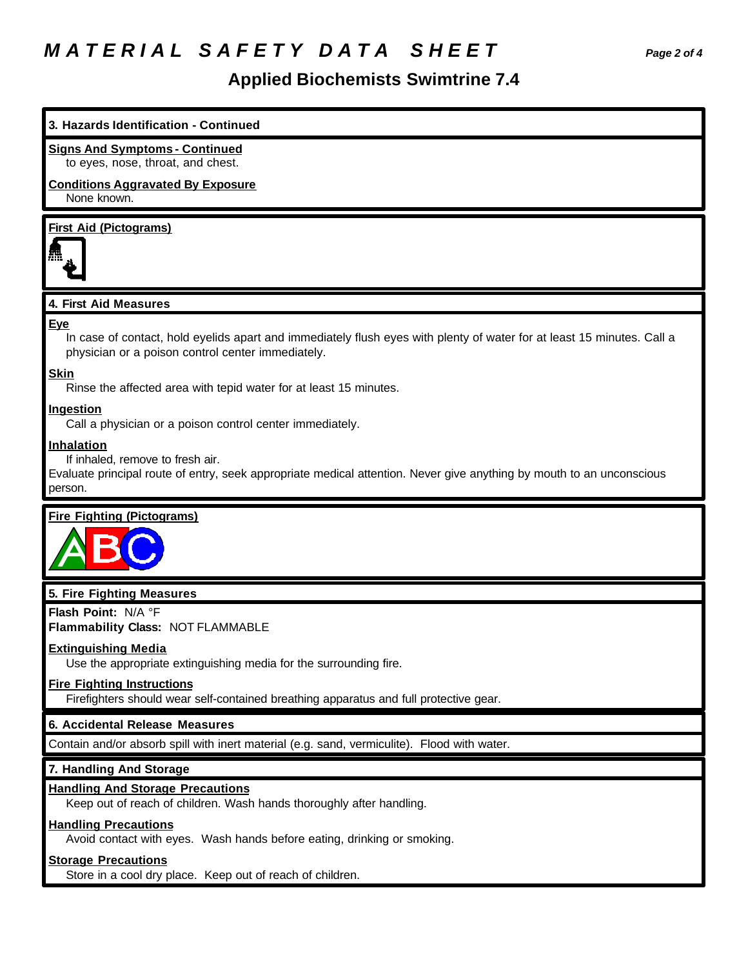# *M A T E R I A L S A F E T Y D A T A S H E E T Page 2 of 4*

# **Applied Biochemists Swimtrine 7.4**

# **3. Hazards Identification - Continued**

#### **Signs And Symptoms - Continued**

to eyes, nose, throat, and chest.

#### **Conditions Aggravated By Exposure** None known.

# **First Aid (Pictograms)**



#### **4. First Aid Measures**

#### **Eye**

In case of contact, hold eyelids apart and immediately flush eyes with plenty of water for at least 15 minutes. Call a physician or a poison control center immediately.

#### **Skin**

Rinse the affected area with tepid water for at least 15 minutes.

#### **Ingestion**

Call a physician or a poison control center immediately.

#### **Inhalation**

If inhaled, remove to fresh air.

Evaluate principal route of entry, seek appropriate medical attention. Never give anything by mouth to an unconscious person.

# **Fire Fighting (Pictograms)**



#### **5. Fire Fighting Measures**

**Flash Point:** N/A °F

**Flammability Class:** NOT FLAMMABLE

# **Extinguishing Media**

Use the appropriate extinguishing media for the surrounding fire.

## **Fire Fighting Instructions**

Firefighters should wear self-contained breathing apparatus and full protective gear.

# **6. Accidental Release Measures**

Contain and/or absorb spill with inert material (e.g. sand, vermiculite). Flood with water.

# **7. Handling And Storage**

# **Handling And Storage Precautions**

Keep out of reach of children. Wash hands thoroughly after handling.

#### **Handling Precautions**

Avoid contact with eyes. Wash hands before eating, drinking or smoking.

#### **Storage Precautions**

Store in a cool dry place. Keep out of reach of children.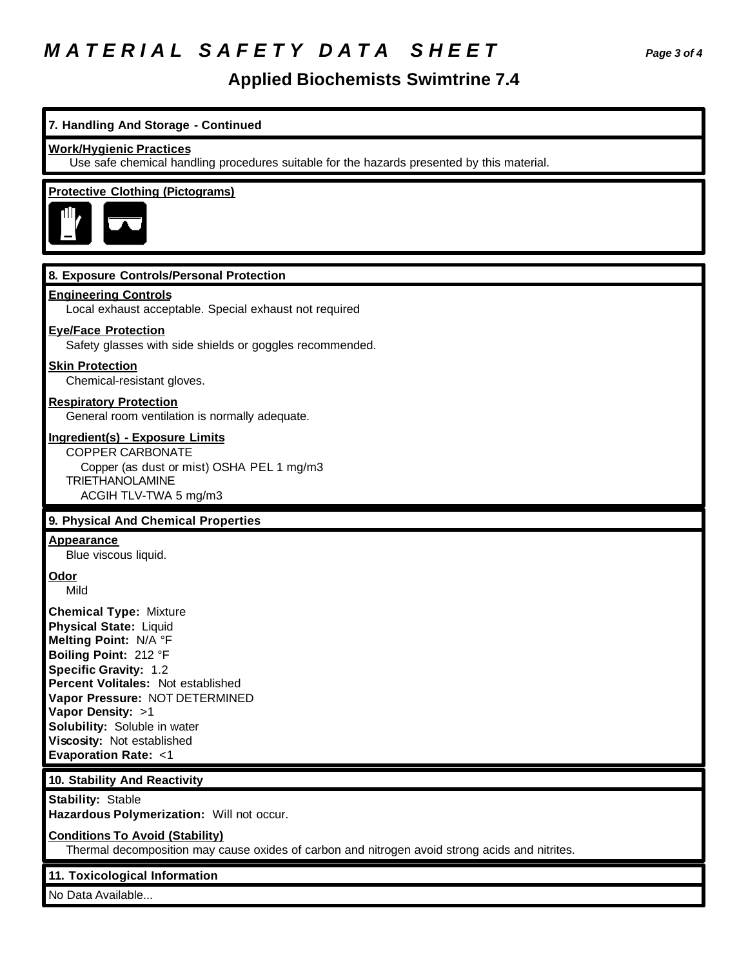# *M A T E R I A L S A F E T Y D A T A S H E E T Page 3 of 4*

# **Applied Biochemists Swimtrine 7.4**

# **7. Handling And Storage - Continued**

#### **Work/Hygienic Practices**

Use safe chemical handling procedures suitable for the hazards presented by this material.

# **Protective Clothing (Pictograms)**



# **8. Exposure Controls/Personal Protection**

#### **Engineering Controls**

Local exhaust acceptable. Special exhaust not required

#### **Eye/Face Protection**

Safety glasses with side shields or goggles recommended.

#### **Skin Protection**

Chemical-resistant gloves.

#### **Respiratory Protection**

General room ventilation is normally adequate.

#### **Ingredient(s) - Exposure Limits**

COPPER CARBONATE Copper (as dust or mist) OSHA PEL 1 mg/m3 TRIETHANOLAMINE ACGIH TLV-TWA 5 mg/m3

# **9. Physical And Chemical Properties**

#### **Appearance**

Blue viscous liquid.

# **Odor**

Mild

**Chemical Type:** Mixture **Physical State:** Liquid **Melting Point:** N/A °F **Boiling Point:** 212 °F **Specific Gravity:** 1.2 **Percent Volitales:** Not established **Vapor Pressure:** NOT DETERMINED **Vapor Density:** >1 **Solubility:** Soluble in water **Viscosity:** Not established **Evaporation Rate:** <1

# **10. Stability And Reactivity**

**Stability:** Stable

**Hazardous Polymerization:** Will not occur.

#### **Conditions To Avoid (Stability)**

Thermal decomposition may cause oxides of carbon and nitrogen avoid strong acids and nitrites.

# **11. Toxicological Information**

No Data Available...